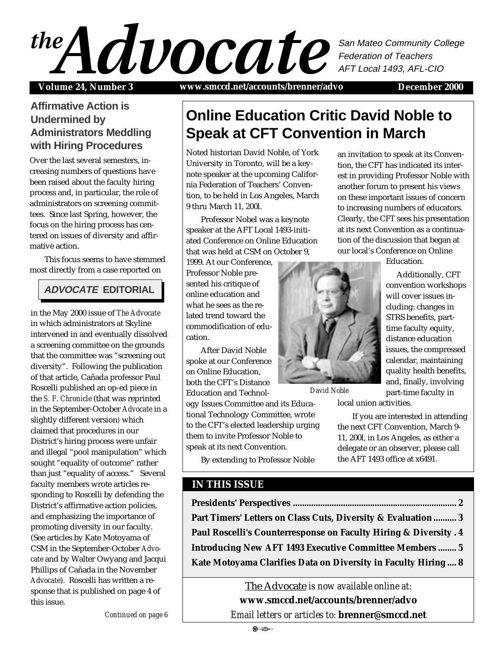

**Volume 24, Number 3 December 2000 www.smccd.net/accounts/brenner/advo**

# **Affirmative Action is Undermined by Administrators Meddling with Hiring Procedures** Noted historian David Noble, of York

Over the last several semesters, increasing numbers of questions have been raised about the faculty hiring process and, in particular, the role of administrators on screening committees. Since last Spring, however, the focus on the hiring process has centered on issues of diversity and affirmative action.

This focus seems to have stemmed most directly from a case reported on

# **ADVOCATE EDITORIAL**

in the May 2000 issue of *The Advocate* in which administrators at Skyline intervened in and eventually dissolved a screening committee on the grounds that the committee was "screening out diversity". Following the publication of that article, Cañada professor Paul Roscelli published an op-ed piece in the *S. F. Chronicle* (that was reprinted in the September-October *Advocate* in a slightly different version*)* which claimed that procedures in our District's hiring process were unfair and illegal "pool manipulation" which sought "equality of outcome" rather than just "equality of access." Several faculty members wrote articles responding to Roscelli by defending the District's affirmative action policies, and emphasizing the importance of promoting diversity in our faculty. (See articles by Kate Motoyama of CSM in the September-October *Advocate* and by Walter Owyang and Jacqui Phillips of Cañada in the November *Advocate*). Roscelli has written a response that is published on page 4 of this issue.

# **Online Education Critic David Noble to Speak at CFT Convention in March**

University in Toronto, will be a keynote speaker at the upcoming California Federation of Teachers' Convention, to be held in Los Angeles, March 9 thru March 11, 200l.

Professor Nobel was a keynote speaker at the AFT Local 1493-initiated Conference on Online Education that was held at CSM on October 9,

1999. At our Conference, Professor Noble presented his critique of online education and what he sees as the related trend toward the commodification of education.

After David Noble spoke at our Conference on Online Education, both the CFT's Distance Education and Technol-

ogy Issues Committee and its Educational Technology Committee, wrote to the CFT's elected leadership urging them to invite Professor Noble to speak at its next Convention.

By extending to Professor Noble

**IN THIS ISSUE**

**Presidents' Perspectives ........................................................................ 2 Part Timers' Letters on Class Cuts, Diversity & Evaluation .......... 3 Paul Roscelli's Counterresponse on Faculty Hiring & Diversity . 4 Introducing New AFT 1493 Executive Committee Members ........ 5 Kate Motoyama Clarifies Data on Diversity in Faculty Hiring .... 8**

> The Advocate *is now available online at:* **www.smccd.net/accounts/brenner/advo** *Email letters or articles to:* **brenner@smccd.net**

Education.

an invitation to speak at its Convention, the CFT has indicated its interest in providing Professor Noble with another forum to present his views on these important issues of concern to increasing numbers of educators. Clearly, the CFT sees his presentation at its next Convention as a continuation of the discussion that began at our local's Conference on Online

> Additionally, CFT convention workshops will cover issues including: changes in STRS benefits, parttime faculty equity, distance education issues, the compressed calendar, maintaining quality health benefits, and, finally, involving part-time faculty in

*David Noble*

local union activities.

If you are interested in attending the next CFT Convention, March 9- 11, 200l, in Los Angeles, as either a delegate or an observer, please call the AFT 1493 office at x6491.

*Continued on page 6*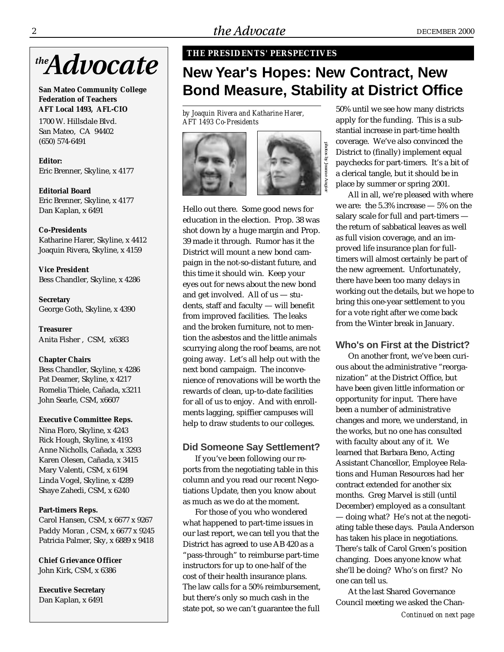

**San Mateo Community College Federation of Teachers AFT Local 1493, AFL-CIO**

1700 W. Hillsdale Blvd. San Mateo, CA 94402 (650) 574-6491

**Editor:** Eric Brenner, Skyline, x 4177

**Editorial Board** Eric Brenner, Skyline, x 4177 Dan Kaplan, x 6491

**Co-Presidents** Katharine Harer, Skyline, x 4412 Joaquin Rivera, Skyline, x 4159

**Vice President** Bess Chandler, Skyline, x 4286

**Secretary** George Goth, Skyline, x 4390

**Treasurer** Anita Fisher , CSM, x6383

#### **Chapter Chairs**

Bess Chandler, Skyline, x 4286 Pat Deamer, Skyline, x 4217 Romelia Thiele, Cañada, x3211 John Searle, CSM, x6607

#### **Executive Committee Reps.**

Nina Floro, Skyline, x 4243 Rick Hough, Skyline, x 4193 Anne Nicholls, Cañada, x 3293 Karen Olesen, Cañada, x 3415 Mary Valenti, CSM, x 6194 Linda Vogel, Skyline, x 4289 Shaye Zahedi, CSM, x 6240

#### **Part-timers Reps.**

Carol Hansen, CSM, x 6677 x 9267 Paddy Moran , CSM, x 6677 x 9245 Patricia Palmer, Sky, x 6889 x 9418

**Chief Grievance Officer** John Kirk, CSM, x 6386

**Executive Secretary** Dan Kaplan, x 6491

# **THE PRESIDENTS' PERSPECTIVES**

# **New Year's Hopes: New Contract, New Bond Measure, Stability at District Office**

*photos by Jeanne Angier*

photos by Jeanne

*by Joaquin Rivera and Katharine Harer, AFT 1493 Co-Presidents*



Hello out there. Some good news for education in the election. Prop. 38 was shot down by a huge margin and Prop. 39 made it through. Rumor has it the District will mount a new bond campaign in the not-so-distant future, and this time it should win. Keep your eyes out for news about the new bond and get involved. All of us — students, staff and faculty — will benefit from improved facilities. The leaks and the broken furniture, not to mention the asbestos and the little animals scurrying along the roof beams, are not going away. Let's all help out with the next bond campaign. The inconvenience of renovations will be worth the rewards of clean, up-to-date facilities for all of us to enjoy. And with enrollments lagging, spiffier campuses will help to draw students to our colleges.

### **Did Someone Say Settlement?**

If you've been following our reports from the negotiating table in this column and you read our recent Negotiations Update, then you know about as much as we do at the moment.

For those of you who wondered what happened to part-time issues in our last report, we can tell you that the District has agreed to use AB 420 as a "pass-through" to reimburse part-time instructors for up to one-half of the cost of their health insurance plans. The law calls for a 50% reimbursement, but there's only so much cash in the state pot, so we can't guarantee the full

50% until we see how many districts apply for the funding. This is a substantial increase in part-time health coverage. We've also convinced the District to (finally) implement equal paychecks for part-timers. It's a bit of a clerical tangle, but it should be in place by summer or spring 2001.

All in all, we're pleased with where we are: the 5.3% increase — 5% on the salary scale for full and part-timers the return of sabbatical leaves as well as full vision coverage, and an improved life insurance plan for fulltimers will almost certainly be part of the new agreement. Unfortunately, there have been too many delays in working out the details, but we hope to bring this one-year settlement to you for a vote right after we come back from the Winter break in January.

# **Who's on First at the District?**

On another front, we've been curious about the administrative "reorganization" at the District Office, but have been given little information or opportunity for input. There have been a number of administrative changes and more, we understand, in the works, but no one has consulted with faculty about any of it. We learned that Barbara Beno, Acting Assistant Chancellor, Employee Relations and Human Resources had her contract extended for another six months. Greg Marvel is still (until December) employed as a consultant — doing what? He's not at the negotiating table these days. Paula Anderson has taken his place in negotiations. There's talk of Carol Green's position changing. Does anyone know what she'll be doing? Who's on first? No one can tell us.

At the last Shared Governance Council meeting we asked the Chan-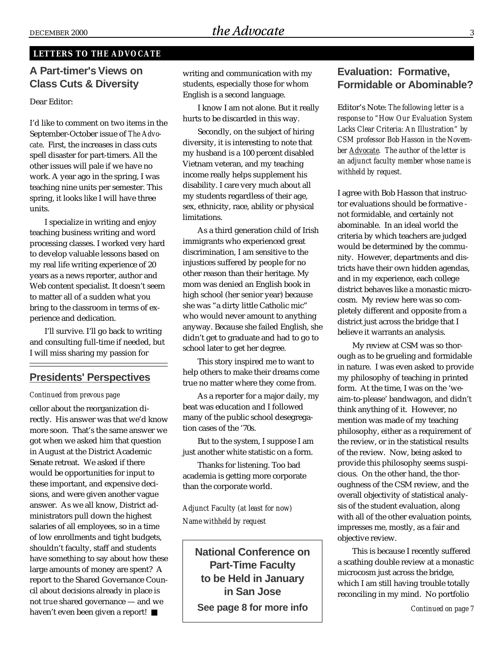#### **LETTERS TO** *THE ADVOCATE*

# **A Part-timer's Views on Class Cuts & Diversity**

Dear Editor:

I'd like to comment on two items in the September-October issue of *The Advocate*. First, the increases in class cuts spell disaster for part-timers. All the other issues will pale if we have no work. A year ago in the spring, I was teaching nine units per semester. This spring, it looks like I will have three units.

I specialize in writing and enjoy teaching business writing and word processing classes. I worked very hard to develop valuable lessons based on my real life writing experience of 20 years as a news reporter, author and Web content specialist. It doesn't seem to matter all of a sudden what you bring to the classroom in terms of experience and dedication.

I'll survive. I'll go back to writing and consulting full-time if needed, but I will miss sharing my passion for

# **Presidents' Perspectives**

#### *Continued from prevous page*

cellor about the reorganization directly. His answer was that we'd know more soon. That's the same answer we got when we asked him that question in August at the District Academic Senate retreat. We asked if there would be opportunities for input to these important, and expensive decisions, and were given another vague answer. As we all know, District administrators pull down the highest salaries of all employees, so in a time of low enrollments and tight budgets, shouldn't faculty, staff and students have something to say about how these large amounts of money are spent? A report to the Shared Governance Council about decisions already in place is not *tru*e shared governance — and we haven't even been given a report! ■

writing and communication with my students, especially those for whom English is a second language.

I know I am not alone. But it really hurts to be discarded in this way.

Secondly, on the subject of hiring diversity, it is interesting to note that my husband is a 100 percent disabled Vietnam veteran, and my teaching income really helps supplement his disability. I care very much about all my students regardless of their age, sex, ethnicity, race, ability or physical limitations.

As a third generation child of Irish immigrants who experienced great discrimination, I am sensitive to the injustices suffered by people for no other reason than their heritage. My mom was denied an English book in high school (her senior year) because she was "a dirty little Catholic mic" who would never amount to anything anyway. Because she failed English, she didn't get to graduate and had to go to school later to get her degree.

This story inspired me to want to help others to make their dreams come true no matter where they come from.

As a reporter for a major daily, my beat was education and I followed many of the public school desegregation cases of the '70s.

But to the system, I suppose I am just another white statistic on a form.

Thanks for listening. Too bad academia is getting more corporate than the corporate world.

*Adjunct Faculty (at least for now) Name withheld by request*

> **National Conference on Part-Time Faculty to be Held in January in San Jose See page 8 for more info**

# **Evaluation: Formative, Formidable or Abominable?**

Editor's Note: *The following letter is a response to "How Our Evaluation System Lacks Clear Criteria: An Illustration" by CSM professor Bob Hasson in the November Advocate. The author of the letter is an adjunct faculty member whose name is withheld by request.*

I agree with Bob Hasson that instructor evaluations should be formative not formidable, and certainly not abominable. In an ideal world the criteria by which teachers are judged would be determined by the community. However, departments and districts have their own hidden agendas, and in my experience, each college district behaves like a monastic microcosm. My review here was so completely different and opposite from a district just across the bridge that I believe it warrants an analysis.

My review at CSM was so thorough as to be grueling and formidable in nature. I was even asked to provide my philosophy of teaching in printed form. At the time, I was on the 'weaim-to-please' bandwagon, and didn't think anything of it. However, no mention was made of my teaching philosophy, either as a requirement of the review, or in the statistical results of the review. Now, being asked to provide this philosophy seems suspicious. On the other hand, the thoroughness of the CSM review, and the overall objectivity of statistical analysis of the student evaluation, along with all of the other evaluation points, impresses me, mostly, as a fair and objective review.

This is because I recently suffered a scathing double review at a monastic microcosm just across the bridge, which I am still having trouble totally reconciling in my mind. No portfolio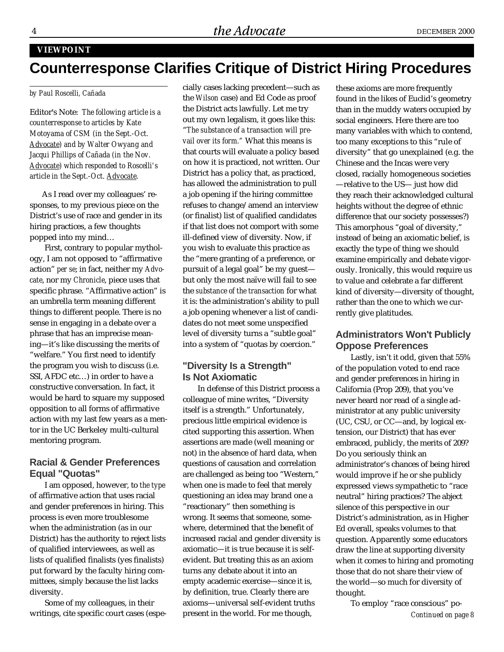### **VIEWPOINT**

# **Counterresponse Clarifies Critique of District Hiring Procedures**

*by Paul Roscelli, Cañada*

Editor's Note: *The following article is a counterresponse to articles by Kate Motoyama of CSM (in the Sept.-Oct. Advocate) and by Walter Owyang and Jacqui Phillips of Cañada (in the Nov. Advocate) which responded to Roscelli's article in the Sept.-Oct. Advocate.*

As I read over my colleagues' responses, to my previous piece on the District's use of race and gender in its hiring practices, a few thoughts popped into my mind…

First, contrary to popular mythology, I am not opposed to "affirmative action" *per se*; in fact, neither my *Advocate*, nor my *Chronicle*, piece uses that specific phrase. "Affirmative action" is an umbrella term meaning different things to different people. There is no sense in engaging in a debate over a phrase that has an imprecise meaning—it's like discussing the merits of "welfare." You first need to identify the program you wish to discuss (i.e. SSI, AFDC etc…) in order to have a constructive conversation. In fact, it would be hard to square my supposed opposition to all forms of affirmative action with my last few years as a mentor in the UC Berkeley multi-cultural mentoring program.

### **Racial & Gender Preferences Equal "Quotas"**

I am opposed, however, to *the type* of affirmative action that uses racial and gender preferences in hiring. This process is even more troublesome when the administration (as in our District) has the authority to reject lists of qualified interviewees, as well as lists of qualified finalists (yes finalists) put forward by the faculty hiring committees, simply because the list lacks diversity.

Some of my colleagues, in their writings, cite specific court cases (espe-

cially cases lacking precedent—such as the *Wilson* case) and Ed Code as proof the District acts lawfully. Let me try out my own legalism, it goes like this: "*The substance of a transaction will prevail over its form."* What this means is that courts will evaluate a policy based on how it is practiced, not written. Our District has a policy that, as practiced, has allowed the administration to pull a job opening if the hiring committee refuses to change/amend an interview (or finalist) list of qualified candidates if that list does not comport with some ill-defined view of diversity. Now, if you wish to evaluate this practice as the "mere granting of a preference, or pursuit of a legal goal" be my guest but only the most naïve will fail to see the *substance of the transaction* for what it is: the administration's ability to pull a job opening whenever a list of candidates do not meet some unspecified level of diversity turns a "subtle goal" into a system of "quotas by coercion."

# **"Diversity Is a Strength" Is Not Axiomatic**

In defense of this District process a colleague of mine writes, "Diversity itself is a strength." Unfortunately, precious little empirical evidence is cited supporting this assertion. When assertions are made (well meaning or not) in the absence of hard data, when questions of causation and correlation are challenged as being too "Western," when one is made to feel that merely questioning an idea may brand one a "reactionary" then something is wrong. It seems that someone, somewhere, determined that the benefit of increased racial and gender diversity is axiomatic—it is true because it is selfevident. But treating this as an axiom turns any debate about it into an empty academic exercise—since it is, by definition, true. Clearly there are axioms—universal self-evident truths present in the world. For me though,

these axioms are more frequently found in the likes of Euclid's geometry than in the muddy waters occupied by social engineers. Here there are too many variables with which to contend, too many exceptions to this "rule of diversity" that go unexplained (e.g. the Chinese and the Incas were very closed, racially homogeneous societies —relative to the US— just how did they reach their acknowledged cultural heights without the degree of ethnic difference that our society possesses?) This amorphous "goal of diversity," instead of being an axiomatic belief, is exactly the type of thing we should examine empirically and debate vigorously. Ironically, this would require us to value and celebrate a far different kind of diversity—diversity of thought, rather than the one to which we currently give platitudes.

### **Administrators Won't Publicly Oppose Preferences**

Lastly, isn't it odd, given that 55% of the population voted to end race and gender preferences in hiring in California (Prop 209), that you've never heard nor read of a single administrator at any public university (UC, CSU, or CC—and, by logical extension, our District) that has ever embraced, publicly, the merits of 209? Do you seriously think an administrator's chances of being hired would improve if he or she publicly expressed views sympathetic to "race neutral" hiring practices? The abject silence of this perspective in our District's administration, as in Higher Ed overall, speaks volumes to that question. Apparently some educators draw the line at supporting diversity when it comes to hiring and promoting those that do not share their view of the world—so much for diversity of thought.

*Continued on page 8* To employ "race conscious" po-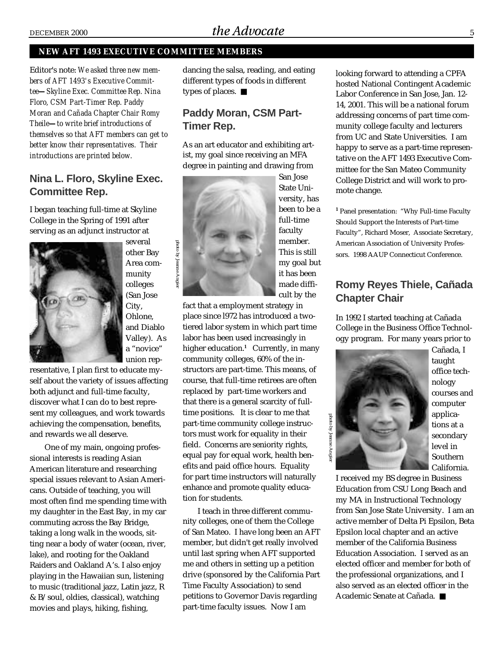#### **NEW AFT 1493 EXECUTIVE COMMITTEE MEMBERS**

Editor's note: *We asked three new members of AFT 1493's Executive Committee***—***Skyline Exec. Committee Rep. Nina Floro, CSM Part-Timer Rep. Paddy Moran and Cañada Chapter Chair Romy Theile***—***to write brief introductions of themselves so that AFT members can get to better know their representatives. Their introductions are printed below.*

# **Nina L. Floro, Skyline Exec. Committee Rep.**

I began teaching full-time at Skyline College in the Spring of 1991 after serving as an adjunct instructor at



several other Bay Area community colleges (San Jose City, Ohlone, and Diablo Valley). As a "novice" union rep-

resentative, I plan first to educate myself about the variety of issues affecting both adjunct and full-time faculty, discover what I can do to best represent my colleagues, and work towards achieving the compensation, benefits, and rewards we all deserve.

One of my main, ongoing professional interests is reading Asian American literature and researching special issues relevant to Asian Americans. Outside of teaching, you will most often find me spending time with my daughter in the East Bay, in my car commuting across the Bay Bridge, taking a long walk in the woods, sitting near a body of water (ocean, river, lake), and rooting for the Oakland Raiders and Oakland A's. I also enjoy playing in the Hawaiian sun, listening to music (traditional jazz, Latin jazz, R & B/soul, oldies, classical), watching movies and plays, hiking, fishing,

dancing the salsa, reading, and eating different types of foods in different types of places. ■

# **Paddy Moran, CSM Part-Timer Rep.**

As an art educator and exhibiting artist, my goal since receiving an MFA degree in painting and drawing from



San Jose State University, has been to be a full-time faculty member. This is still my goal but it has been made difficult by the

fact that a employment strategy in place since l972 has introduced a twotiered labor system in which part time labor has been used increasingly in higher education.**<sup>1</sup>** Currently, in many community colleges, 60% of the instructors are part-time. This means, of course, that full-time retirees are often replaced by part-time workers and that there is a general scarcity of fulltime positions. It is clear to me that part-time community college instructors must work for equality in their field. Concerns are seniority rights, equal pay for equal work, health benefits and paid office hours. Equality for part time instructors will naturally enhance and promote quality education for students.

I teach in three different community colleges, one of them the College of San Mateo. I have long been an AFT member, but didn't get really involved until last spring when AFT supported me and others in setting up a petition drive (sponsored by the California Part Time Faculty Association) to send petitions to Governor Davis regarding part-time faculty issues. Now I am

looking forward to attending a CPFA hosted National Contingent Academic Labor Conference in San Jose, Jan. 12- 14, 2001. This will be a national forum addressing concerns of part time community college faculty and lecturers from UC and State Universities. I am happy to serve as a part-time representative on the AFT 1493 Executive Committee for the San Mateo Community College District and will work to promote change.

**1** Panel presentation: "Why Full-time Faculty Should Support the Interests of Part-time Faculty", Richard Moser, Associate Secretary, American Association of University Professors. 1998 AAUP Connecticut Conference.

# **Romy Reyes Thiele, Cañada Chapter Chair**

In 1992 I started teaching at Cañada College in the Business Office Technology program. For many years prior to



Cañada, I taught office technology courses and computer applications at a secondary level in Southern California.

I received my BS degree in Business Education from CSU Long Beach and my MA in Instructional Technology from San Jose State University. I am an active member of Delta Pi Epsilon, Beta Epsilon local chapter and an active member of the California Business Education Association. I served as an elected officer and member for both of the professional organizations, and I also served as an elected officer in the Academic Senate at Cañada. ■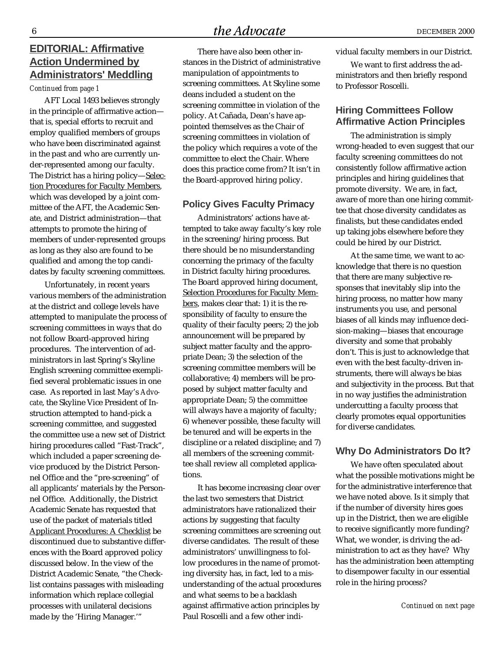# **EDITORIAL: Affirmative Action Undermined by Administrators' Meddling**

#### *Continued from page 1*

AFT Local 1493 believes strongly in the principle of affirmative action that is, special efforts to recruit and employ qualified members of groups who have been discriminated against in the past and who are currently under-represented among our faculty. The District has a hiring policy—Selection Procedures for Faculty Members, which was developed by a joint committee of the AFT, the Academic Senate, and District administration—that attempts to promote the hiring of members of under-represented groups as long as they also are found to be qualified and among the top candidates by faculty screening committees.

Unfortunately, in recent years various members of the administration at the district and college levels have attempted to manipulate the process of screening committees in ways that do not follow Board-approved hiring procedures. The intervention of administrators in last Spring's Skyline English screening committee exemplified several problematic issues in one case. As reported in last May's *Advocate*, the Skyline Vice President of Instruction attempted to hand-pick a screening committee, and suggested the committee use a new set of District hiring procedures called "Fast-Track", which included a paper screening device produced by the District Personnel Office and the "pre-screening" of all applicants' materials by the Personnel Office. Additionally, the District Academic Senate has requested that use of the packet of materials titled Applicant Procedures: A Checklist be discontinued due to substantive differences with the Board approved policy discussed below. In the view of the District Academic Senate, "the Checklist contains passages with misleading information which replace collegial processes with unilateral decisions made by the 'Hiring Manager.'"

There have also been other instances in the District of administrative manipulation of appointments to screening committees. At Skyline some deans included a student on the screening committee in violation of the policy. At Cañada, Dean's have appointed themselves as the Chair of screening committees in violation of the policy which requires a vote of the committee to elect the Chair. Where does this practice come from? It isn't in the Board-approved hiring policy.

#### **Policy Gives Faculty Primacy**

Administrators' actions have attempted to take away faculty's key role in the screening/hiring process. But there should be no misunderstanding concerning the primacy of the faculty in District faculty hiring procedures. The Board approved hiring document, Selection Procedures for Faculty Members, makes clear that: 1) it is the responsibility of faculty to ensure the quality of their faculty peers; 2) the job announcement will be prepared by subject matter faculty and the appropriate Dean; 3) the selection of the screening committee members will be collaborative; 4) members will be proposed by subject matter faculty and appropriate Dean; 5) the committee will always have a majority of faculty; 6) whenever possible, these faculty will be tenured and will be experts in the discipline or a related discipline; and 7) all members of the screening committee shall review all completed applications.

It has become increasing clear over the last two semesters that District administrators have rationalized their actions by suggesting that faculty screening committees are screening out diverse candidates. The result of these administrators' unwillingness to follow procedures in the name of promoting diversity has, in fact, led to a misunderstanding of the actual procedures and what seems to be a backlash against affirmative action principles by Paul Roscelli and a few other indi-

We want to first address the administrators and then briefly respond to Professor Roscelli.

## **Hiring Committees Follow Affirmative Action Principles**

The administration is simply wrong-headed to even suggest that our faculty screening committees do not consistently follow affirmative action principles and hiring guidelines that promote diversity. We are, in fact, aware of more than one hiring committee that chose diversity candidates as finalists, but these candidates ended up taking jobs elsewhere before they could be hired by our District.

At the same time, we want to acknowledge that there is no question that there are many subjective responses that inevitably slip into the hiring process, no matter how many instruments you use, and personal biases of all kinds may influence decision-making—biases that encourage diversity and some that probably don't. This is just to acknowledge that even with the best faculty-driven instruments, there will always be bias and subjectivity in the process. But that in no way justifies the administration undercutting a faculty process that clearly promotes equal opportunities for diverse candidates.

# **Why Do Administrators Do It?**

We have often speculated about what the possible motivations might be for the administrative interference that we have noted above. Is it simply that if the number of diversity hires goes up in the District, then we are eligible to receive significantly more funding? What, we wonder, is driving the administration to act as they have? Why has the administration been attempting to disempower faculty in our essential role in the hiring process?

*Continued on next page*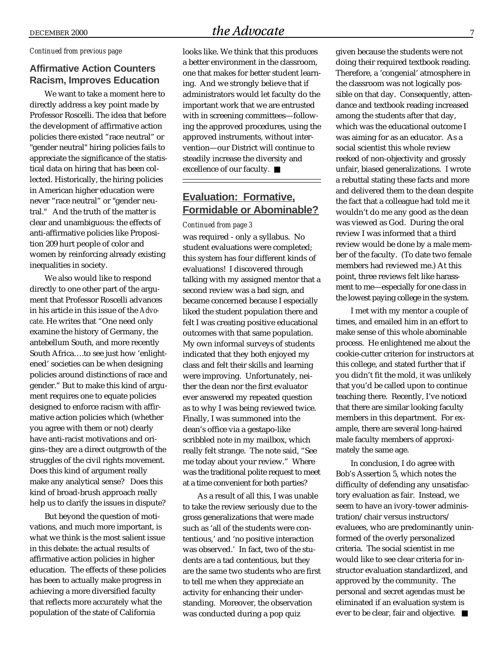## **Affirmative Action Counters Racism, Improves Education**

We want to take a moment here to directly address a key point made by Professor Roscelli. The idea that before the development of affirmative action policies there existed "race neutral" or "gender neutral" hiring policies fails to appreciate the significance of the statistical data on hiring that has been collected. Historically, the hiring policies in American higher education were never "race neutral" or "gender neutral." And the truth of the matter is clear and unambiguous: the effects of anti-affirmative policies like Proposition 209 hurt people of color and women by reinforcing already existing inequalities in society.

We also would like to respond directly to one other part of the argument that Professor Roscelli advances in his article in this issue of the *Advocate*. He writes that "One need only examine the history of Germany, the antebellum South, and more recently South Africa….to see just how 'enlightened' societies can be when designing policies around distinctions of race and gender." But to make this kind of argument requires one to equate policies designed to enforce racism with affirmative action policies which (whether you agree with them or not) clearly have anti-racist motivations and origins–they are a direct outgrowth of the struggles of the civil rights movement. Does this kind of argument really make any analytical sense? Does this kind of broad-brush approach really help us to clarify the issues in dispute?

But beyond the question of motivations, and much more important, is what we think is the most salient issue in this debate: the actual results of affirmative action policies in higher education. The effects of these policies has been to actually make progress in achieving a more diversified faculty that reflects more accurately what the population of the state of California

*Continued from previous page* looks like. We think that this produces a better environment in the classroom, one that makes for better student learning. And we strongly believe that if administrators would let faculty do the important work that we are entrusted with in screening committees—following the approved procedures, using the approved instruments, without intervention—our District will continue to steadily increase the diversity and excellence of our faculty. ■

# **Evaluation: Formative, Formidable or Abominable?**

#### *Continued from page 3*

was required - only a syllabus. No student evaluations were completed; this system has four different kinds of evaluations! I discovered through talking with my assigned mentor that a second review was a bad sign, and became concerned because I especially liked the student population there and felt I was creating positive educational outcomes with that same population. My own informal surveys of students indicated that they both enjoyed my class and felt their skills and learning were improving. Unfortunately, neither the dean nor the first evaluator ever answered my repeated question as to why I was being reviewed twice. Finally, I was summoned into the dean's office via a gestapo-like scribbled note in my mailbox, which really felt strange. The note said, "See me today about your review." Where was the traditional polite request to meet at a time convenient for both parties?

As a result of all this, I was unable to take the review seriously due to the gross generalizations that were made such as 'all of the students were contentious,' and 'no positive interaction was observed.' In fact, two of the students are a tad contentious, but they are the same two students who are first to tell me when they appreciate an activity for enhancing their understanding. Moreover, the observation was conducted during a pop quiz

given because the students were not doing their required textbook reading. Therefore, a 'congenial' atmosphere in the classroom was not logically possible on that day. Consequently, attendance and textbook reading increased among the students after that day, which was the educational outcome I was aiming for as an educator. As a social scientist this whole review reeked of non-objectivity and grossly unfair, biased generalizations. I wrote a rebuttal stating these facts and more and delivered them to the dean despite the fact that a colleague had told me it wouldn't do me any good as the dean was viewed as God. During the oral review I was informed that a third review would be done by a male member of the faculty. (To date two female members had reviewed me.) At this point, three reviews felt like harassment to me—especially for one class in the lowest paying college in the system.

I met with my mentor a couple of times, and emailed him in an effort to make sense of this whole abominable process. He enlightened me about the cookie-cutter criterion for instructors at this college, and stated further that if you didn't fit the mold, it was unlikely that you'd be called upon to continue teaching there. Recently, I've noticed that there are similar looking faculty members in this department. For example, there are several long-haired male faculty members of approximately the same age.

In conclusion, I do agree with Bob's Assertion 5, which notes the difficulty of defending any unsatisfactory evaluation as fair. Instead, we seem to have an ivory-tower administration/chair versus instructors/ evaluees, who are predominantly uninformed of the overly personalized criteria. The social scientist in me would like to see clear criteria for instructor evaluation standardized, and approved by the community. The personal and secret agendas must be eliminated if an evaluation system is ever to be clear, fair and objective. ■